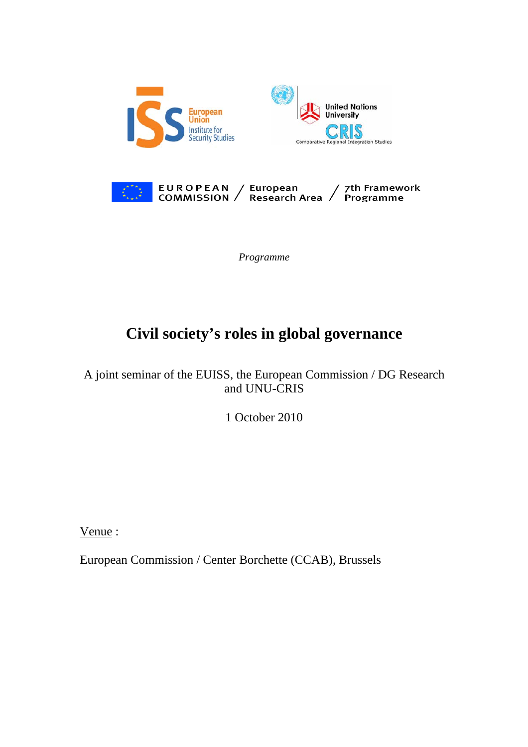



*Programme* 

# **Civil society's roles in global governance**

A joint seminar of the EUISS, the European Commission / DG Research and UNU-CRIS

1 October 2010

Venue :

European Commission / Center Borchette (CCAB), Brussels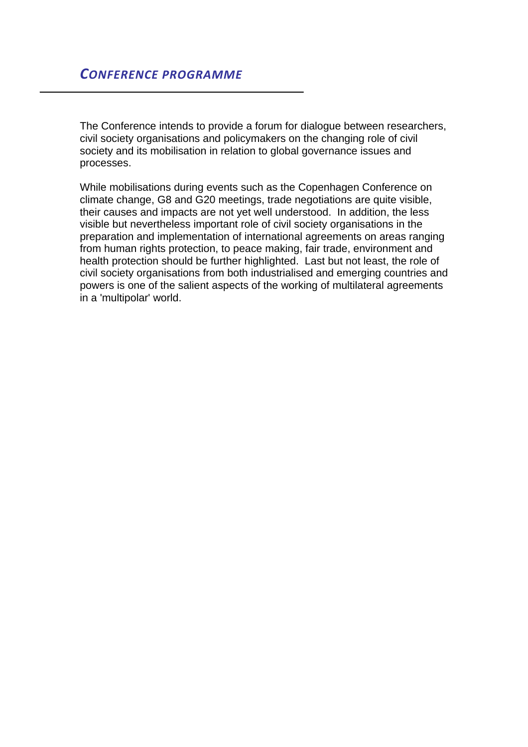The Conference intends to provide a forum for dialogue between researchers, civil society organisations and policymakers on the changing role of civil society and its mobilisation in relation to global governance issues and processes.

While mobilisations during events such as the Copenhagen Conference on climate change, G8 and G20 meetings, trade negotiations are quite visible, their causes and impacts are not yet well understood. In addition, the less visible but nevertheless important role of civil society organisations in the preparation and implementation of international agreements on areas ranging from human rights protection, to peace making, fair trade, environment and health protection should be further highlighted. Last but not least, the role of civil society organisations from both industrialised and emerging countries and powers is one of the salient aspects of the working of multilateral agreements in a 'multipolar' world.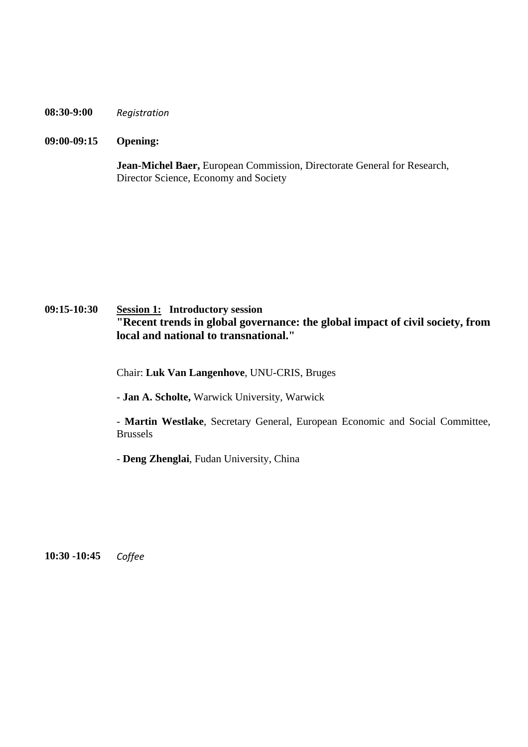#### **08:30-9:00** *Registration*

#### **09:00-09:15 Opening:**

**Jean-Michel Baer,** European Commission, Directorate General for Research, Director Science, Economy and Society

## **09:15-10:30 Session 1: Introductory session "Recent trends in global governance: the global impact of civil society, from local and national to transnational."**

Chair: **Luk Van Langenhove**, UNU-CRIS, Bruges

- **Jan A. Scholte,** Warwick University, Warwick

- **Martin Westlake**, Secretary General, European Economic and Social Committee, Brussels

- **Deng Zhenglai**, Fudan University, China

**10:30 -10:45** *Coffee*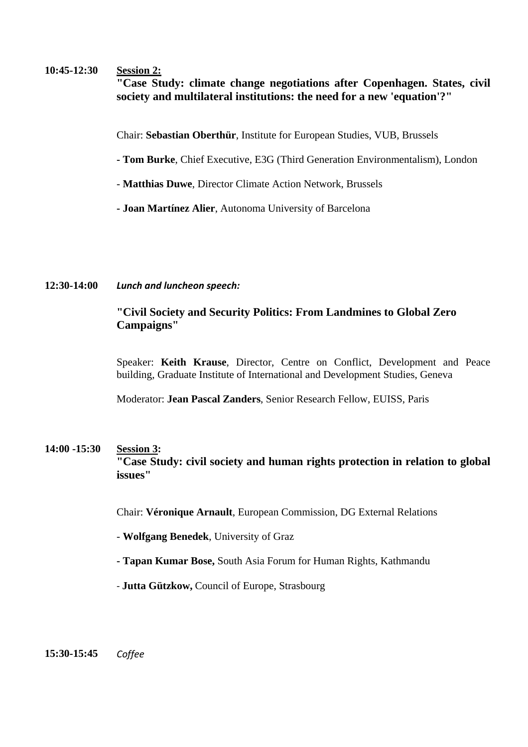#### **10:45-12:30 Session 2:**

**"Case Study: climate change negotiations after Copenhagen. States, civil society and multilateral institutions: the need for a new 'equation'?"** 

Chair: **Sebastian Oberthür**, Institute for European Studies, VUB, Brussels

- **Tom Burke**, Chief Executive, E3G (Third Generation Environmentalism), London
- **Matthias Duwe**, Director Climate Action Network, Brussels
- **Joan Martínez Alier**, Autonoma University of Barcelona

#### **12:30-14:00** *Lunch and luncheon speech:*

### **"Civil Society and Security Politics: From Landmines to Global Zero Campaigns"**

Speaker: **Keith Krause**, Director, Centre on Conflict, Development and Peace building, Graduate Institute of International and Development Studies, Geneva

Moderator: **Jean Pascal Zanders**, Senior Research Fellow, EUISS, Paris

## **14:00 -15:30 Session 3: "Case Study: civil society and human rights protection in relation to global issues"**

Chair: **Véronique Arnault**, European Commission, DG External Relations

- **Wolfgang Benedek**, University of Graz
- **Tapan Kumar Bose,** South Asia Forum for Human Rights, Kathmandu
- ‐ **Jutta Gützkow,** Council of Europe, Strasbourg